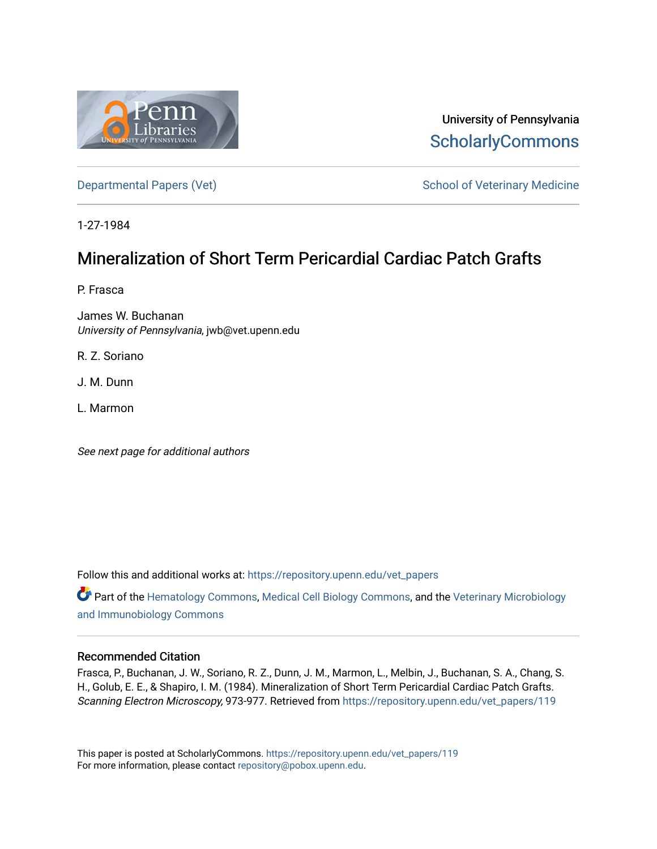

University of Pennsylvania **ScholarlyCommons** 

[Departmental Papers \(Vet\)](https://repository.upenn.edu/vet_papers) and School of Veterinary Medicine

1-27-1984

# Mineralization of Short Term Pericardial Cardiac Patch Grafts

P. Frasca

James W. Buchanan University of Pennsylvania, jwb@vet.upenn.edu

R. Z. Soriano

J. M. Dunn

L. Marmon

See next page for additional authors

Follow this and additional works at: [https://repository.upenn.edu/vet\\_papers](https://repository.upenn.edu/vet_papers?utm_source=repository.upenn.edu%2Fvet_papers%2F119&utm_medium=PDF&utm_campaign=PDFCoverPages) 

Part of the [Hematology Commons,](http://network.bepress.com/hgg/discipline/1059?utm_source=repository.upenn.edu%2Fvet_papers%2F119&utm_medium=PDF&utm_campaign=PDFCoverPages) [Medical Cell Biology Commons](http://network.bepress.com/hgg/discipline/669?utm_source=repository.upenn.edu%2Fvet_papers%2F119&utm_medium=PDF&utm_campaign=PDFCoverPages), and the [Veterinary Microbiology](http://network.bepress.com/hgg/discipline/763?utm_source=repository.upenn.edu%2Fvet_papers%2F119&utm_medium=PDF&utm_campaign=PDFCoverPages)  [and Immunobiology Commons](http://network.bepress.com/hgg/discipline/763?utm_source=repository.upenn.edu%2Fvet_papers%2F119&utm_medium=PDF&utm_campaign=PDFCoverPages) 

### Recommended Citation

Frasca, P., Buchanan, J. W., Soriano, R. Z., Dunn, J. M., Marmon, L., Melbin, J., Buchanan, S. A., Chang, S. H., Golub, E. E., & Shapiro, I. M. (1984). Mineralization of Short Term Pericardial Cardiac Patch Grafts. Scanning Electron Microscopy, 973-977. Retrieved from [https://repository.upenn.edu/vet\\_papers/119](https://repository.upenn.edu/vet_papers/119?utm_source=repository.upenn.edu%2Fvet_papers%2F119&utm_medium=PDF&utm_campaign=PDFCoverPages)

This paper is posted at ScholarlyCommons. [https://repository.upenn.edu/vet\\_papers/119](https://repository.upenn.edu/vet_papers/119) For more information, please contact [repository@pobox.upenn.edu.](mailto:repository@pobox.upenn.edu)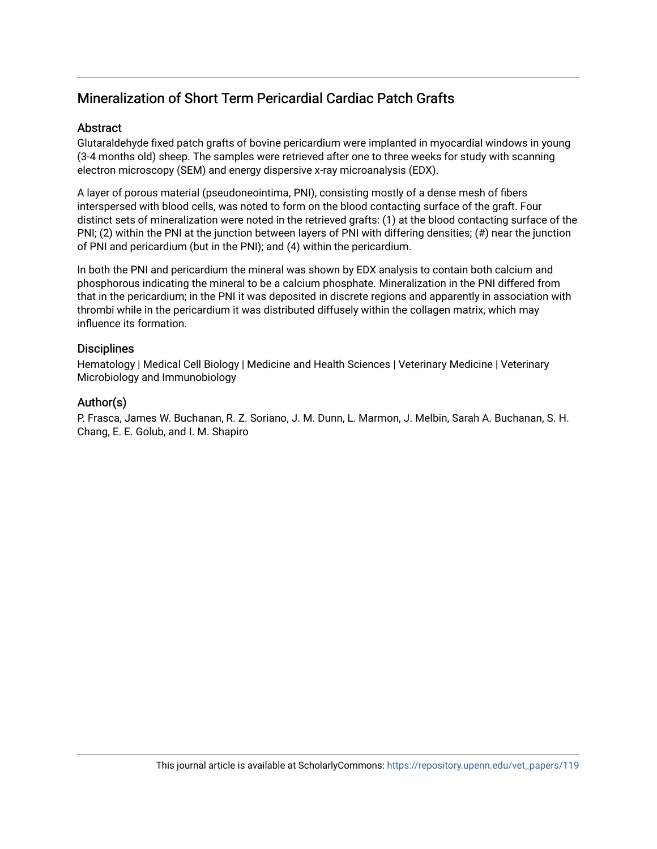# Mineralization of Short Term Pericardial Cardiac Patch Grafts

### Abstract

Glutaraldehyde fixed patch grafts of bovine pericardium were implanted in myocardial windows in young (3-4 months old) sheep. The samples were retrieved after one to three weeks for study with scanning electron microscopy (SEM) and energy dispersive x-ray microanalysis (EDX).

A layer of porous material (pseudoneointima, PNI), consisting mostly of a dense mesh of fibers interspersed with blood cells, was noted to form on the blood contacting surface of the graft. Four distinct sets of mineralization were noted in the retrieved grafts: (1) at the blood contacting surface of the PNI; (2) within the PNI at the junction between layers of PNI with differing densities; (#) near the junction of PNI and pericardium (but in the PNI); and (4) within the pericardium.

In both the PNI and pericardium the mineral was shown by EDX analysis to contain both calcium and phosphorous indicating the mineral to be a calcium phosphate. Mineralization in the PNI differed from that in the pericardium; in the PNI it was deposited in discrete regions and apparently in association with thrombi while in the pericardium it was distributed diffusely within the collagen matrix, which may influence its formation.

### **Disciplines**

Hematology | Medical Cell Biology | Medicine and Health Sciences | Veterinary Medicine | Veterinary Microbiology and Immunobiology

### Author(s)

P. Frasca, James W. Buchanan, R. Z. Soriano, J. M. Dunn, L. Marmon, J. Melbin, Sarah A. Buchanan, S. H. Chang, E. E. Golub, and I. M. Shapiro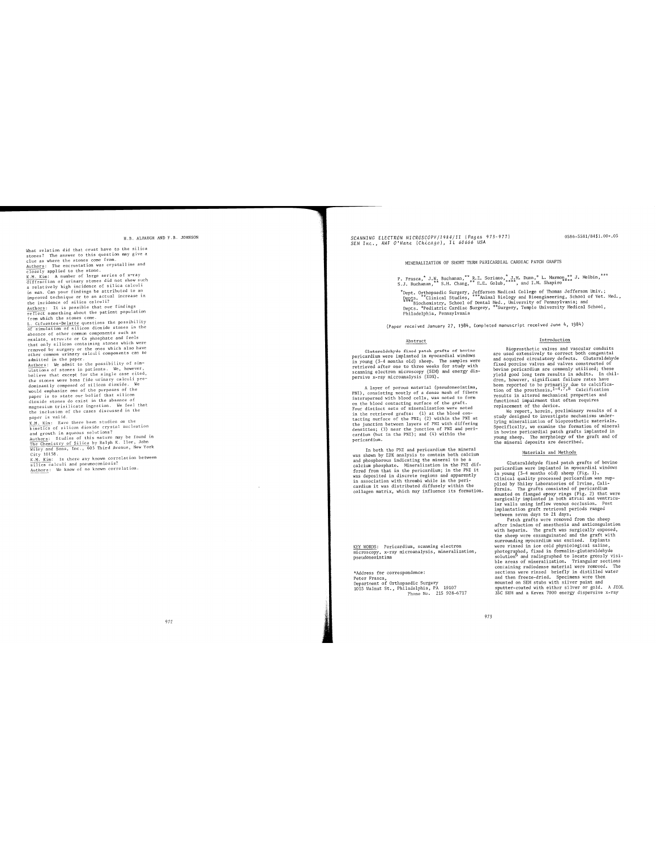H.B. ALPAUGH AND F.B. JOHNSON

H.B. ALFAUC<br>
H.B. ALFAUC<br>
H.B. ALFAUC<br>
stores 7 The answer to this quest in a clue as where the stones come from<br>
clue as where the stones come from .<br>
Athen: The encrustation was crystall ine and<br>
directly applied to the

the functions of the control of the set of the KM. Kin: Have a set of interior is said in the control of the set of interior is determined to the set of the set of the set of the set of the set of the set of the set of the

## SCANNING ELECTRON MICROSCOPY/1984/11 (Pages 973-977)<br>SEM Inc., AMF O'Hane (Chicago), IL 60666 USA

0586-5581/84\$1.00+.05

MINERALIZATION OF SHORT TERM PERICARDIAL CARDIAC PATCH GRAFTS

P. Frasca,  $^*$  J.W. Buchanan,  $^{**}$  R.Z. Soriano,  $^*$  J.M. Dunn,  $^*$  L. Marmon,  $^{***}$  J. Melbin,  $^{***}$  S.J. Buchanan,  $^{**}$  S.H. Chang,  $^{**}$  E.E. Golub,  $^{***}$ , and I.M. Shapiro

encommunity of the state of the state of the state of The Papert Access 1987.<br>
The Legge of The State of the State of the State of The State of The State of The State State State State State State State State of the State

(Paper received January 27, 1984, Completed manuscript received June  $4$ , 1984)

#### Abstract

Clutaraldehyde fixed patch grafts of bovine<br>pericardium were implanted in poorardial windows<br>in young (3-4 months old) sheep. The samples were<br>riveyed after one to three weeks for study with<br>scanning electron microscopy (

A layer of porous material (pseudomeointima, PNI), consisting mostly of a demon material interspersed with hlood cells, was noted to form on the blood contacting surface of the graft. The Fault of the Fault is the retrieve pericardium.

pericularium.<br>In both the PNI and pericardium the mineral<br>was shown by EDX analysis to contain both calcium<br>and phosphorous indicating the mineral to be a<br>calcium phosphate. Mineralization in the PNI dif-<br>freed from that i

<u>KEY WORDS</u>: Pericardium, scanning electron<br>microscopy, x-ray microanalysis, mineralization,<br>pseudoneointima

\*Address for correspondence:

\*Address 101<br>
Pepartment of Orthopaedic Surgery<br>
Department of Orthopaedic Surgery<br>
1015 Walnut St., Philadelphia, PA 19107<br>
Phone No. 215 928-6717

Introduction<br>
Introduction<br>
Introduction<br>
are used extensively to correct both congenital<br>
are used extensively to correct both congenital<br>
and acquired circulatory defects. Glutaraldeby<br>
fixed porcine values and values c

Introduction

#### Materials and Methods

Glutaraldehyde fixed patch grafts of bovine

Glutaraldehyde fixed patch grafts of bovine<br>increasing were implanted in myocardial windows<br>in young (3-4 months old) sheep (Fig. 1).<br>Clinical quality processed pericarium was sup-<br>plied by Shiley Laboratories of Irvine,

973

972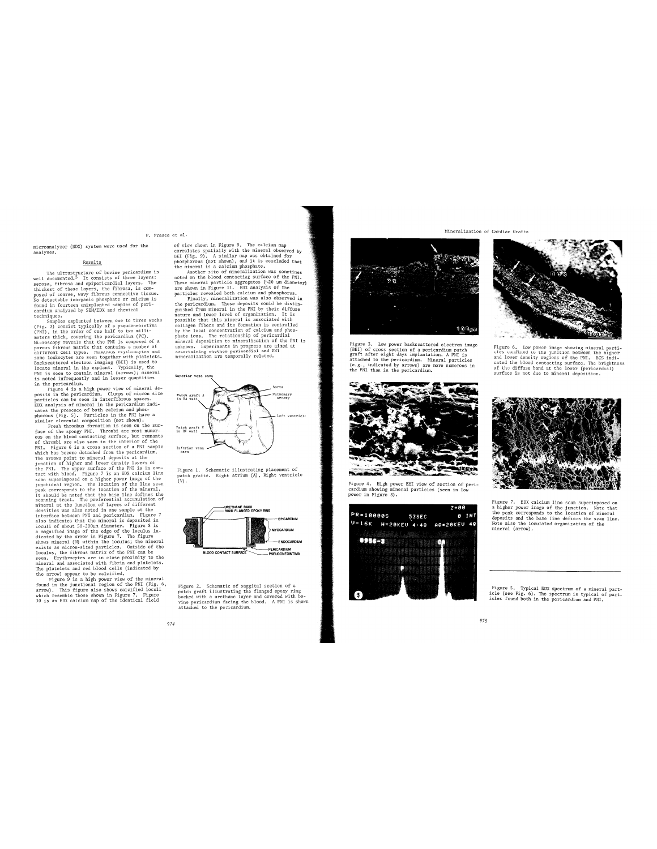#### P. Frasca et al.

P<br>microanalyzer (EDX) system were used for the<br>analyses.

#### $\underline{\texttt{Results}}$

The ultrastructure of bovine pericardium is<br>well documented,<sup>5</sup> It consists of three layers:<br>series, fibrosa and epipericardial layers. The series and epipericardial layers. The<br>posed of coarse, wavy fibrous connective ti

posed of contrap, wey fillowed controlls that<br>all the polymetric is the polymetric criterial is found in forture unimplanted samples of peri-<br>found in fourteen unimplanted samples of peri-<br>found in fourteen unimplanted sam

974

et al.<br>
et al.<br>
et al.<br>
et view shown in Figure 9. The calcium map<br>
correlates spatially with the mineral observed by<br>
BEI (Fig. 9). A similar map was obtained for<br>
phosphorous (not shown), and it is concluded that<br>
the m



Figure 1. Schematic illustrating placement of<br>patch grafts. Right atrium (A), Right ventricle<br>(V).



Figure 2. Schematic of saggital section of a<br>patch graft illustrating the flanged epoxy ring<br>backed with a urethanc layer and covered with bo-<br>backed with a urethanc layer and covered with bo-<br>vine pericardium facing the b



igure 3. Low power backscattered electron Figure 5. Low power passes atterned enectron image<br>(BEI) of cross section of a pericardium patch<br>graft after eight days implantation. A PNI is<br>attached to the pericardium. Mineral particles<br>(e.g., indicated by arrows) are



Figure 4. High power BEI view of section of pericardium showing mineral particles (seen in low<br>power in Figure 3).







Figure 6. Low power image showing mineral particles confined to the junction between the higher and lower density regions of the PNI. BCS indicated the blood constating surface. The brightness of the diffuse band at the l



Figure 7. EDX calcium line scan superimposed on a higher power image of the junction. Note that the peak corresponds to the location of mineral deposits and the base line defines the scan line. Note also the location of m

Figure 5. Typical EDX spectrum of a mineral particle (see Fig. 6). The spectrum is typical of particles found both in the pericardium and PNI.

#### 975